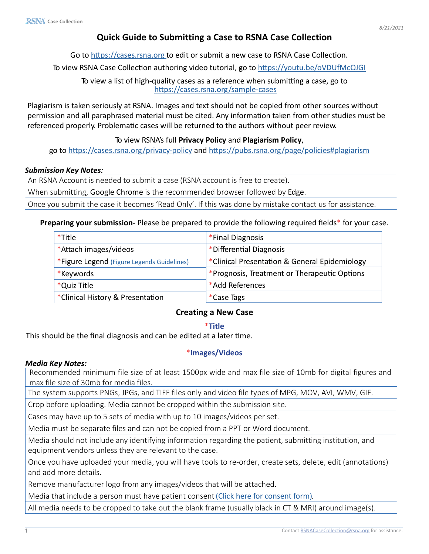# **Quick Guide to Submitting a Case to RSNA Case Collection**

Go to <https://cases.rsna.org> to edit or submit a new case to RSNA Case Collection.

To view RSNA Case Collection authoring video tutorial, go to<https://youtu.be/oVDUfMcOJGI>

To view a list of high-quality cases as a reference when submitting a case, go to <https://cases.rsna.org/sample-cases>

Plagiarism is taken seriously at RSNA. Images and text should not be copied from other sources without permission and all paraphrased material must be cited. Any information taken from other studies must be referenced properly. Problematic cases will be returned to the authors without peer review.

## To view RSNA's full **Privacy Policy** and **Plagiarism Policy**,

go to <https://cases.rsna.org/privacy-policy> and<https://pubs.rsna.org/page/policies#plagiarism>

### *Submission Key Notes:*

An RSNA Account is needed to submit a case (RSNA account is free to create).

When submitting, Google Chrome is the recommended browser followed by Edge.

Once you submit the case it becomes 'Read Only'. If this was done by mistake contact us for assistance.

## **Preparing your submission-** Please be prepared to provide the following required fields\* for your case.

| *Title                                     | *Final Diagnosis                              |
|--------------------------------------------|-----------------------------------------------|
| *Attach images/videos                      | *Differential Diagnosis                       |
| *Figure Legend (Figure Legends Guidelines) | *Clinical Presentation & General Epidemiology |
| *Keywords                                  | *Prognosis, Treatment or Therapeutic Options  |
| *Quiz Title                                | *Add References                               |
| *Clinical History & Presentation           | *Case Tags                                    |

## **Creating a New Case**

## \***Title**

This should be the final diagnosis and can be edited at a later time.

## \***Images/Videos**

#### *Media Key Notes:*

Recommended minimum file size of at least 1500px wide and max file size of 10mb for digital figures and max file size of 30mb for media files.

The system supports PNGs, JPGs, and TIFF files only and video file types of MPG, MOV, AVI, WMV, GIF.

Crop before uploading. Media cannot be cropped within the submission site.

Cases may have up to 5 sets of media with up to 10 images/videos per set.

Media must be separate files and can not be copied from a PPT or Word document.

Media should not include any identifying information regarding the patient, submitting institution, and equipment vendors unless they are relevant to the case.

Once you have uploaded your media, you will have tools to re-order, create sets, delete, edit (annotations) and add more details.

Remove manufacturer logo from any images/videos that will be attached.

Media that include a person must have patient consent (Click here for consent form).

All media needs to be cropped to take out the blank frame (usually black in CT & MRI) around image(s).